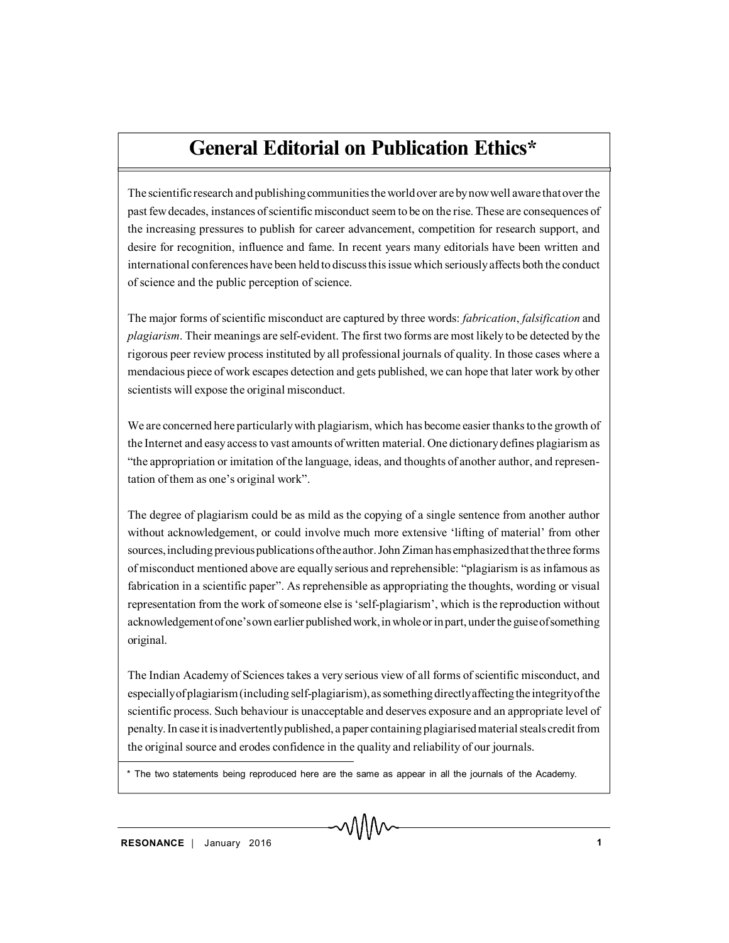## **General Editorial on Publication Ethics\***

The scientific research and publishing communitiesthe world over are bynowwell awarethat over the past few decades, instances of scientific misconduct seem to be on the rise. These are consequences of the increasing pressures to publish for career advancement, competition for research support, and desire for recognition, influence and fame. In recent years many editorials have been written and international conferences have been held to discussthis issue which seriously affects both the conduct of science and the public perception of science.

The major forms of scientific misconduct are captured by three words: *fabrication*, *falsification* and *plagiarism*. Their meanings are self-evident. The first two forms are most likely to be detected by the rigorous peer review process instituted by all professional journals of quality. In those cases where a mendacious piece of work escapes detection and gets published, we can hope that later work by other scientists will expose the original misconduct.

We are concerned here particularlywith plagiarism, which has become easier thanks to the growth of the Internet and easy access to vast amounts of written material. One dictionary defines plagiarism as "the appropriation or imitation of the language, ideas, and thoughts of another author, and representation of them as one's original work".

The degree of plagiarism could be as mild as the copying of a single sentence from another author without acknowledgement, or could involve much more extensive 'lifting of material' from other sources, including previous publications of the author. John Ziman has emphasized that the three forms of misconduct mentioned above are equally serious and reprehensible: "plagiarism is as infamous as fabrication in a scientific paper". As reprehensible as appropriating the thoughts, wording or visual representation from the work of someone else is 'self-plagiarism', which is the reproduction without acknowledgement of one's own earlier published work, in whole or in part, under the guise of something original.

The Indian Academy of Sciences takes a very serious view of all forms of scientific misconduct, and especially of plagiarism (including self-plagiarism), as something directly affecting the integrity of the scientific process. Such behaviour is unacceptable and deserves exposure and an appropriate level of penalty. In caseit isinadvertentlypublished, a paper containing plagiarisedmaterial stealscredit from the original source and erodes confidence in the quality and reliability of our journals.

\* The two statements being reproduced here are the same as appear in all the journals of the Academy.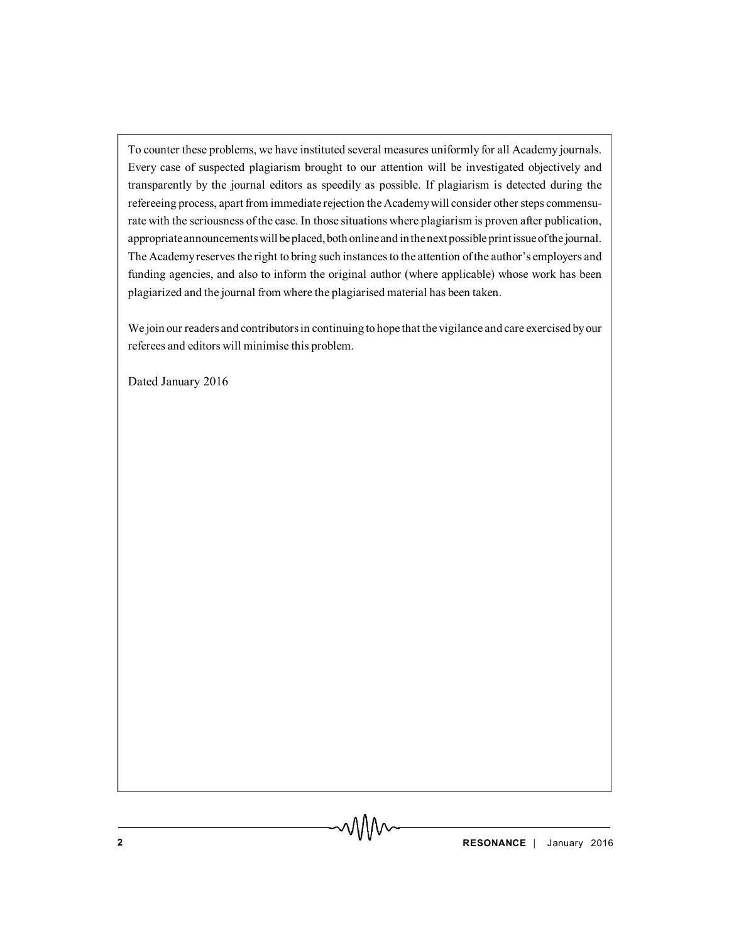To counter these problems, we have instituted several measures uniformly for all Academy journals. Every case of suspected plagiarism brought to our attention will be investigated objectively and transparently by the journal editors as speedily as possible. If plagiarism is detected during the refereeing process, apart from immediate rejection the Academywill consider other steps commensurate with the seriousness of the case. In those situations where plagiarism is proven after publication, appropriateannouncementswill be placed, both onlineand inthe next possible printissue ofthejournal. The Academy reserves the right to bring such instances to the attention of the author's employers and funding agencies, and also to inform the original author (where applicable) whose work has been plagiarized and the journal from where the plagiarised material has been taken.

We join our readers and contributors in continuing to hope that the vigilance and care exercised by our referees and editors will minimise this problem.

Dated January 2016